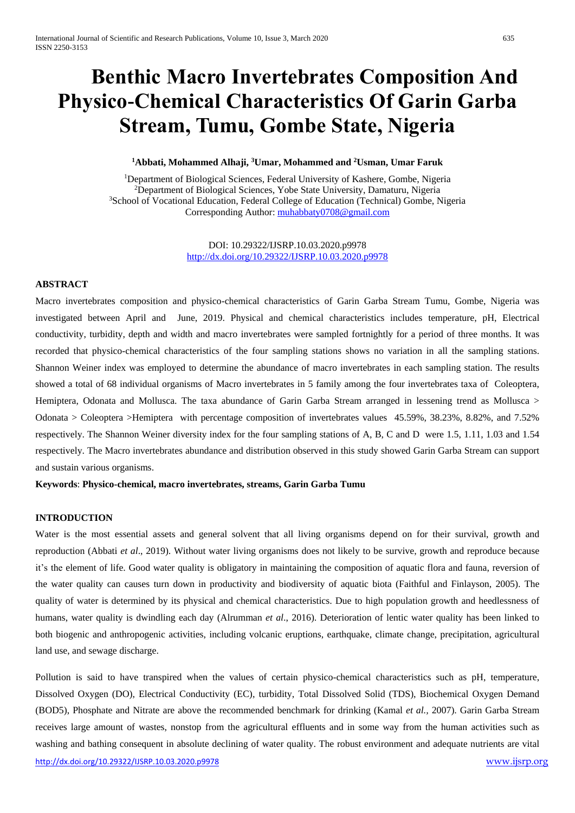# **Benthic Macro Invertebrates Composition And Physico-Chemical Characteristics Of Garin Garba Stream, Tumu, Gombe State, Nigeria**

## **<sup>1</sup>Abbati, Mohammed Alhaji, <sup>3</sup>Umar, Mohammed and <sup>2</sup>Usman, Umar Faruk**

<sup>1</sup>Department of Biological Sciences, Federal University of Kashere, Gombe, Nigeria <sup>2</sup>Department of Biological Sciences, Yobe State University, Damaturu, Nigeria <sup>3</sup>School of Vocational Education, Federal College of Education (Technical) Gombe, Nigeria Corresponding Author: [muhabbaty0708@gmail.com](mailto:muhabbaty0708@gmail.com)

> DOI: 10.29322/IJSRP.10.03.2020.p9978 <http://dx.doi.org/10.29322/IJSRP.10.03.2020.p9978>

#### **ABSTRACT**

Macro invertebrates composition and physico-chemical characteristics of Garin Garba Stream Tumu, Gombe, Nigeria was investigated between April and June, 2019. Physical and chemical characteristics includes temperature, pH, Electrical conductivity, turbidity, depth and width and macro invertebrates were sampled fortnightly for a period of three months. It was recorded that physico-chemical characteristics of the four sampling stations shows no variation in all the sampling stations. Shannon Weiner index was employed to determine the abundance of macro invertebrates in each sampling station. The results showed a total of 68 individual organisms of Macro invertebrates in 5 family among the four invertebrates taxa of Coleoptera, Hemiptera, Odonata and Mollusca. The taxa abundance of Garin Garba Stream arranged in lessening trend as Mollusca > Odonata > Coleoptera >Hemiptera with percentage composition of invertebrates values 45.59%, 38.23%, 8.82%, and 7.52% respectively. The Shannon Weiner diversity index for the four sampling stations of A, B, C and D were 1.5, 1.11, 1.03 and 1.54 respectively. The Macro invertebrates abundance and distribution observed in this study showed Garin Garba Stream can support and sustain various organisms.

**Keywords**: **Physico-chemical, macro invertebrates, streams, Garin Garba Tumu**

#### **INTRODUCTION**

Water is the most essential assets and general solvent that all living organisms depend on for their survival, growth and reproduction (Abbati *et al*., 2019). Without water living organisms does not likely to be survive, growth and reproduce because it's the element of life. Good water quality is obligatory in maintaining the composition of aquatic flora and fauna, reversion of the water quality can causes turn down in productivity and biodiversity of aquatic biota (Faithful and Finlayson, 2005). The quality of water is determined by its physical and chemical characteristics. Due to high population growth and heedlessness of humans, water quality is dwindling each day (Alrumman *et al*., 2016). Deterioration of lentic water quality has been linked to both biogenic and anthropogenic activities, including volcanic eruptions, earthquake, climate change, precipitation, agricultural land use, and sewage discharge.

<http://dx.doi.org/10.29322/IJSRP.10.03.2020.p9978> [www.ijsrp.org](http://ijsrp.org/) Pollution is said to have transpired when the values of certain physico-chemical characteristics such as pH, temperature, Dissolved Oxygen (DO), Electrical Conductivity (EC), turbidity, Total Dissolved Solid (TDS), Biochemical Oxygen Demand (BOD5), Phosphate and Nitrate are above the recommended benchmark for drinking (Kamal *et al.,* 2007). Garin Garba Stream receives large amount of wastes, nonstop from the agricultural effluents and in some way from the human activities such as washing and bathing consequent in absolute declining of water quality. The robust environment and adequate nutrients are vital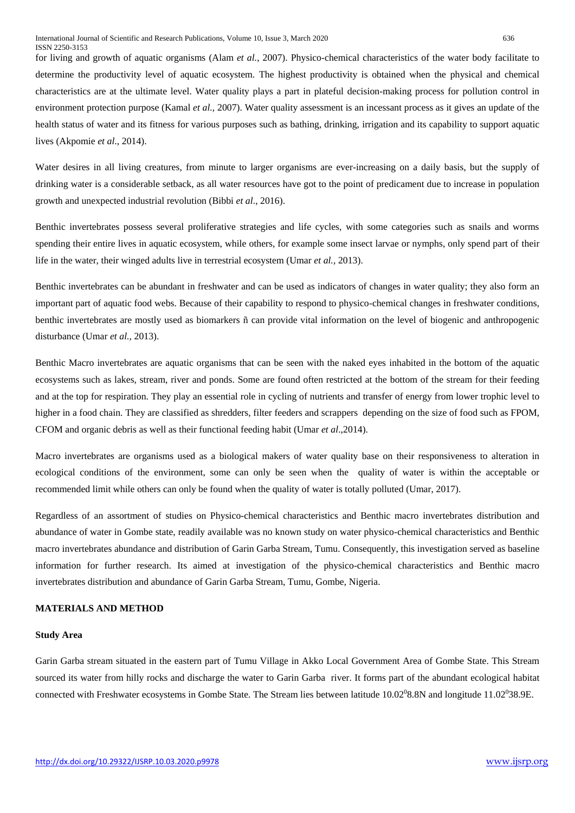for living and growth of aquatic organisms (Alam *et al.*, 2007). Physico-chemical characteristics of the water body facilitate to determine the productivity level of aquatic ecosystem. The highest productivity is obtained when the physical and chemical characteristics are at the ultimate level. Water quality plays a part in plateful decision-making process for pollution control in environment protection purpose (Kamal *et al.,* 2007). Water quality assessment is an incessant process as it gives an update of the health status of water and its fitness for various purposes such as bathing, drinking, irrigation and its capability to support aquatic lives (Akpomie *et al*., 2014).

Water desires in all living creatures, from minute to larger organisms are ever-increasing on a daily basis, but the supply of drinking water is a considerable setback, as all water resources have got to the point of predicament due to increase in population growth and unexpected industrial revolution (Bibbi *et al*., 2016).

Benthic invertebrates possess several proliferative strategies and life cycles, with some categories such as snails and worms spending their entire lives in aquatic ecosystem, while others, for example some insect larvae or nymphs, only spend part of their life in the water, their winged adults live in terrestrial ecosystem (Umar *et al.,* 2013).

Benthic invertebrates can be abundant in freshwater and can be used as indicators of changes in water quality; they also form an important part of aquatic food webs. Because of their capability to respond to physico-chemical changes in freshwater conditions, benthic invertebrates are mostly used as biomarkers ñ can provide vital information on the level of biogenic and anthropogenic disturbance (Umar *et al.,* 2013).

Benthic Macro invertebrates are aquatic organisms that can be seen with the naked eyes inhabited in the bottom of the aquatic ecosystems such as lakes, stream, river and ponds. Some are found often restricted at the bottom of the stream for their feeding and at the top for respiration. They play an essential role in cycling of nutrients and transfer of energy from lower trophic level to higher in a food chain. They are classified as shredders, filter feeders and scrappers depending on the size of food such as FPOM, CFOM and organic debris as well as their functional feeding habit (Umar *et al*.,2014).

Macro invertebrates are organisms used as a biological makers of water quality base on their responsiveness to alteration in ecological conditions of the environment, some can only be seen when the quality of water is within the acceptable or recommended limit while others can only be found when the quality of water is totally polluted (Umar, 2017).

Regardless of an assortment of studies on Physico-chemical characteristics and Benthic macro invertebrates distribution and abundance of water in Gombe state, readily available was no known study on water physico-chemical characteristics and Benthic macro invertebrates abundance and distribution of Garin Garba Stream, Tumu. Consequently, this investigation served as baseline information for further research. Its aimed at investigation of the physico-chemical characteristics and Benthic macro invertebrates distribution and abundance of Garin Garba Stream, Tumu, Gombe, Nigeria.

## **MATERIALS AND METHOD**

## **Study Area**

Garin Garba stream situated in the eastern part of Tumu Village in Akko Local Government Area of Gombe State. This Stream sourced its water from hilly rocks and discharge the water to Garin Garba river. It forms part of the abundant ecological habitat connected with Freshwater ecosystems in Gombe State. The Stream lies between latitude 10.02°8.8N and longitude 11.02°38.9E.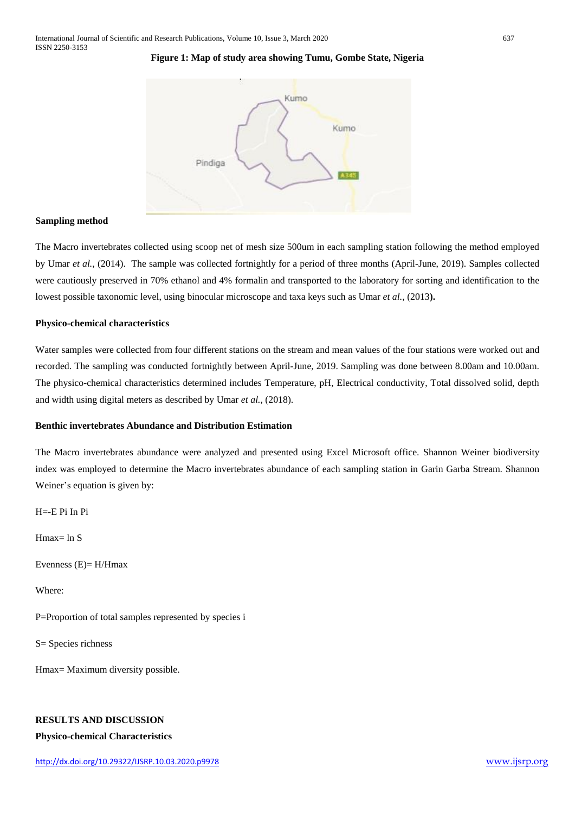## **Figure 1: Map of study area showing Tumu, Gombe State, Nigeria**



#### **Sampling method**

The Macro invertebrates collected using scoop net of mesh size 500um in each sampling station following the method employed by Umar *et al.,* (2014). The sample was collected fortnightly for a period of three months (April-June, 2019). Samples collected were cautiously preserved in 70% ethanol and 4% formalin and transported to the laboratory for sorting and identification to the lowest possible taxonomic level, using binocular microscope and taxa keys such as Umar *et al.,* (2013**).**

#### **Physico-chemical characteristics**

Water samples were collected from four different stations on the stream and mean values of the four stations were worked out and recorded. The sampling was conducted fortnightly between April-June, 2019. Sampling was done between 8.00am and 10.00am. The physico-chemical characteristics determined includes Temperature, pH, Electrical conductivity, Total dissolved solid, depth and width using digital meters as described by Umar *et al.,* (2018).

## **Benthic invertebrates Abundance and Distribution Estimation**

The Macro invertebrates abundance were analyzed and presented using Excel Microsoft office. Shannon Weiner biodiversity index was employed to determine the Macro invertebrates abundance of each sampling station in Garin Garba Stream. Shannon Weiner's equation is given by:

H=-E Pi In Pi

Hmax= ln S

Evenness (E)= H/Hmax

Where:

P=Proportion of total samples represented by species i

S= Species richness

Hmax= Maximum diversity possible.

## **RESULTS AND DISCUSSION**

#### **Physico-chemical Characteristics**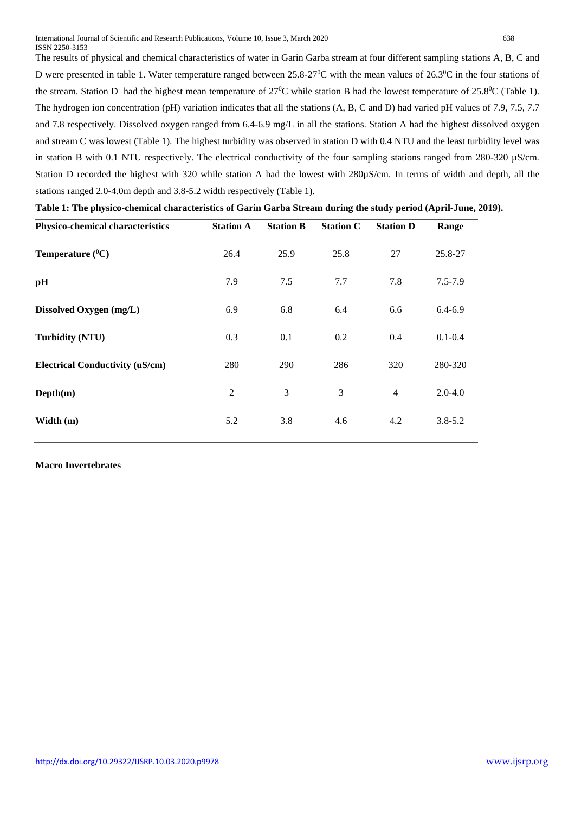The results of physical and chemical characteristics of water in Garin Garba stream at four different sampling stations A, B, C and D were presented in table 1. Water temperature ranged between 25.8-27<sup>0</sup>C with the mean values of 26.3<sup>0</sup>C in the four stations of the stream. Station D had the highest mean temperature of  $27^0C$  while station B had the lowest temperature of  $25.8^0C$  (Table 1). The hydrogen ion concentration (pH) variation indicates that all the stations (A, B, C and D) had varied pH values of 7.9, 7.5, 7.7 and 7.8 respectively. Dissolved oxygen ranged from 6.4-6.9 mg/L in all the stations. Station A had the highest dissolved oxygen and stream C was lowest (Table 1). The highest turbidity was observed in station D with 0.4 NTU and the least turbidity level was in station B with 0.1 NTU respectively. The electrical conductivity of the four sampling stations ranged from  $280-320 \mu S/cm$ . Station D recorded the highest with 320 while station A had the lowest with 280µS/cm. In terms of width and depth, all the stations ranged 2.0-4.0m depth and 3.8-5.2 width respectively (Table 1).

| Physico-chemical characteristics       | <b>Station A</b> | <b>Station B</b> | <b>Station C</b> | <b>Station D</b> | Range       |
|----------------------------------------|------------------|------------------|------------------|------------------|-------------|
| Temperature $(^0C)$                    | 26.4             | 25.9             | 25.8             | 27               | 25.8-27     |
| pH                                     | 7.9              | 7.5              | 7.7              | 7.8              | $7.5 - 7.9$ |
| Dissolved Oxygen (mg/L)                | 6.9              | 6.8              | 6.4              | 6.6              | $6.4 - 6.9$ |
| <b>Turbidity (NTU)</b>                 | 0.3              | 0.1              | 0.2              | 0.4              | $0.1 - 0.4$ |
| <b>Electrical Conductivity (uS/cm)</b> | 280              | 290              | 286              | 320              | 280-320     |
| Depth(m)                               | $\overline{2}$   | 3                | 3                | $\overline{4}$   | $2.0 - 4.0$ |
| Width (m)                              | 5.2              | 3.8              | 4.6              | 4.2              | $3.8 - 5.2$ |
|                                        |                  |                  |                  |                  |             |

| Table 1: The physico-chemical characteristics of Garin Garba Stream during the study period (April-June, 2019). |  |  |
|-----------------------------------------------------------------------------------------------------------------|--|--|
|                                                                                                                 |  |  |

## **Macro Invertebrates**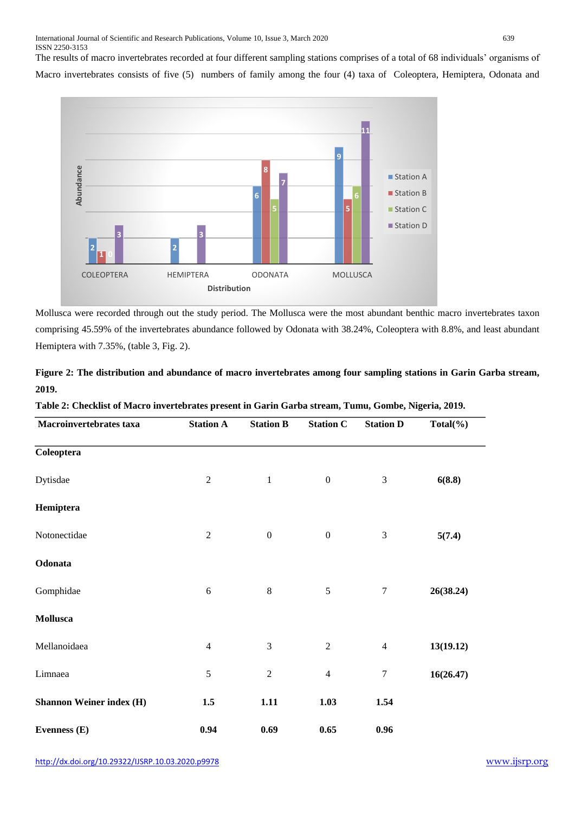The results of macro invertebrates recorded at four different sampling stations comprises of a total of 68 individuals' organisms of

Macro invertebrates consists of five (5) numbers of family among the four (4) taxa of Coleoptera, Hemiptera, Odonata and



Mollusca were recorded through out the study period. The Mollusca were the most abundant benthic macro invertebrates taxon comprising 45.59% of the invertebrates abundance followed by Odonata with 38.24%, Coleoptera with 8.8%, and least abundant Hemiptera with 7.35%, (table 3, Fig. 2).

|       | Figure 2: The distribution and abundance of macro invertebrates among four sampling stations in Garin Garba stream, |  |  |  |  |
|-------|---------------------------------------------------------------------------------------------------------------------|--|--|--|--|
| 2019. |                                                                                                                     |  |  |  |  |

| Table 2: Checklist of Macro invertebrates present in Garin Garba stream, Tumu, Gombe, Nigeria, 2019. |  |
|------------------------------------------------------------------------------------------------------|--|
|------------------------------------------------------------------------------------------------------|--|

| Macroinvertebrates taxa         | <b>Station A</b> | <b>Station B</b> | <b>Station C</b> | <b>Station D</b> | $Total(\%)$ |
|---------------------------------|------------------|------------------|------------------|------------------|-------------|
| Coleoptera                      |                  |                  |                  |                  |             |
| Dytisdae                        | $\overline{2}$   | $\mathbf{1}$     | $\boldsymbol{0}$ | 3                | 6(8.8)      |
| Hemiptera                       |                  |                  |                  |                  |             |
| Notonectidae                    | $\sqrt{2}$       | $\boldsymbol{0}$ | $\boldsymbol{0}$ | $\mathfrak{Z}$   | 5(7.4)      |
| Odonata                         |                  |                  |                  |                  |             |
| Gomphidae                       | $\sqrt{6}$       | $\,8\,$          | $\sqrt{5}$       | $\tau$           | 26(38.24)   |
| Mollusca                        |                  |                  |                  |                  |             |
| Mellanoidaea                    | $\overline{4}$   | $\mathfrak 3$    | $\sqrt{2}$       | $\overline{4}$   | 13(19.12)   |
| Limnaea                         | $\sqrt{5}$       | $\sqrt{2}$       | $\overline{4}$   | $\boldsymbol{7}$ | 16(26.47)   |
| <b>Shannon Weiner index (H)</b> | 1.5              | 1.11             | 1.03             | 1.54             |             |
| Evenness (E)                    | 0.94             | 0.69             | 0.65             | 0.96             |             |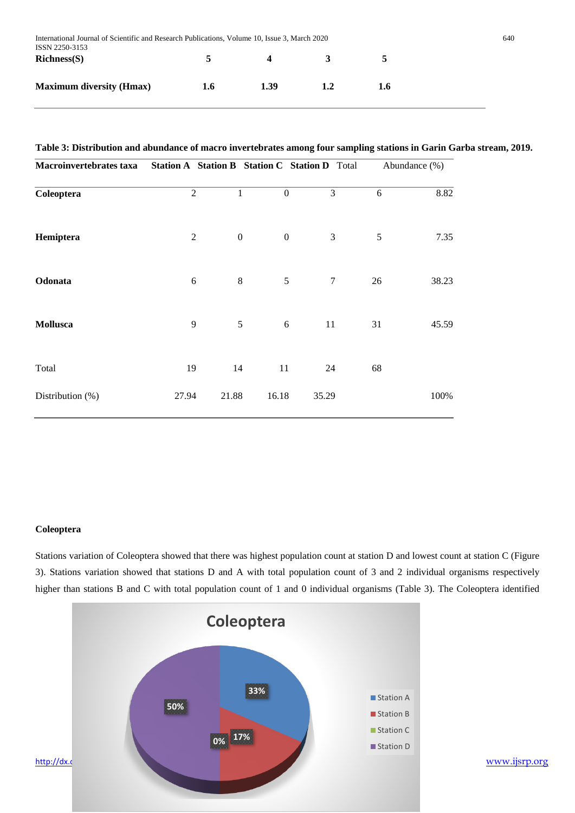| International Journal of Scientific and Research Publications, Volume 10, Issue 3, March 2020<br>ISSN 2250-3153 |     |      |              |     |  |
|-----------------------------------------------------------------------------------------------------------------|-----|------|--------------|-----|--|
| $Richardmath>Richardmathbf{R}$                                                                                  | 5.  | 4    | $\mathbf{3}$ | 5   |  |
| <b>Maximum diversity (Hmax)</b>                                                                                 | 1.6 | 1.39 | 1.2          | 1.6 |  |

# **Table 3: Distribution and abundance of macro invertebrates among four sampling stations in Garin Garba stream, 2019.**

| Macroinvertebrates taxa | Station A Station B Station C Station D Total |                  |                  |        |    | Abundance (%) |
|-------------------------|-----------------------------------------------|------------------|------------------|--------|----|---------------|
| Coleoptera              | $\overline{2}$                                | $\mathbf{1}$     | $\boldsymbol{0}$ | 3      | 6  | 8.82          |
| Hemiptera               | $\mathfrak{2}$                                | $\boldsymbol{0}$ | $\boldsymbol{0}$ | 3      | 5  | 7.35          |
| Odonata                 | 6                                             | $\,8\,$          | 5                | $\tau$ | 26 | 38.23         |
| Mollusca                | 9                                             | 5                | 6                | 11     | 31 | 45.59         |
| Total                   | 19                                            | 14               | 11               | 24     | 68 |               |
| Distribution $(\%)$     | 27.94                                         | 21.88            | 16.18            | 35.29  |    | 100%          |

#### **Coleoptera**

Stations variation of Coleoptera showed that there was highest population count at station D and lowest count at station C (Figure 3). Stations variation showed that stations D and A with total population count of 3 and 2 individual organisms respectively higher than stations B and C with total population count of 1 and 0 individual organisms (Table 3). The Coleoptera identified

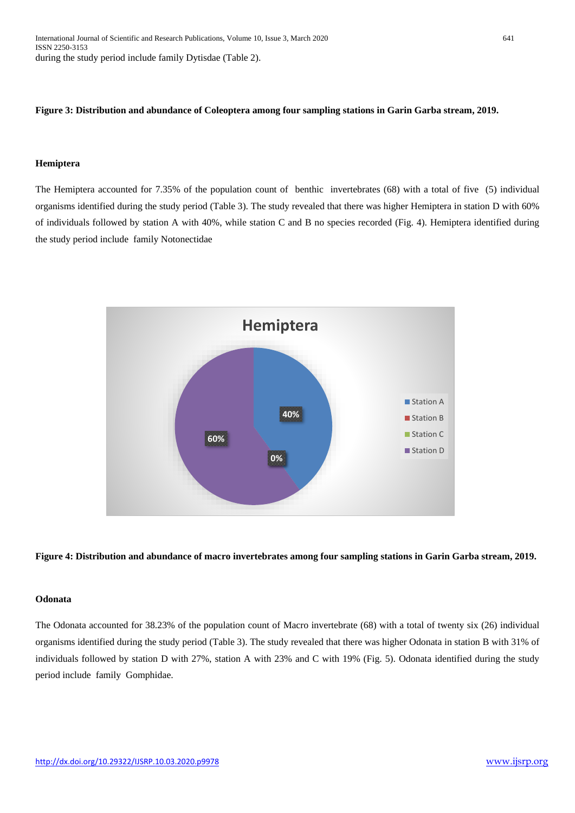## **Figure 3: Distribution and abundance of Coleoptera among four sampling stations in Garin Garba stream, 2019.**

#### **Hemiptera**

The Hemiptera accounted for 7.35% of the population count of benthic invertebrates (68) with a total of five (5) individual organisms identified during the study period (Table 3). The study revealed that there was higher Hemiptera in station D with 60% of individuals followed by station A with 40%, while station C and B no species recorded (Fig. 4). Hemiptera identified during the study period include family Notonectidae



#### **Figure 4: Distribution and abundance of macro invertebrates among four sampling stations in Garin Garba stream, 2019.**

#### **Odonata**

The Odonata accounted for 38.23% of the population count of Macro invertebrate (68) with a total of twenty six (26) individual organisms identified during the study period (Table 3). The study revealed that there was higher Odonata in station B with 31% of individuals followed by station D with 27%, station A with 23% and C with 19% (Fig. 5). Odonata identified during the study period include family Gomphidae.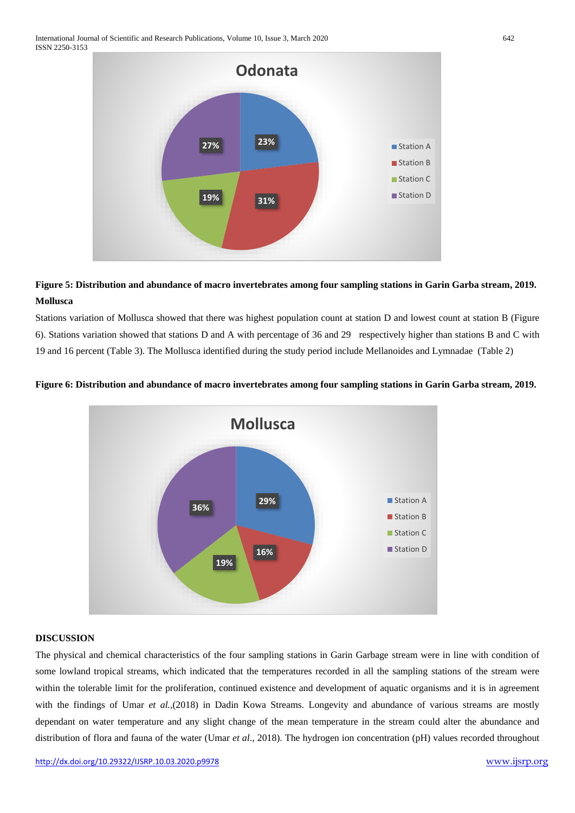

# **Figure 5: Distribution and abundance of macro invertebrates among four sampling stations in Garin Garba stream, 2019. Mollusca**

Stations variation of Mollusca showed that there was highest population count at station D and lowest count at station B (Figure 6). Stations variation showed that stations D and A with percentage of 36 and 29 respectively higher than stations B and C with 19 and 16 percent (Table 3). The Mollusca identified during the study period include Mellanoides and Lymnadae (Table 2)





## **DISCUSSION**

The physical and chemical characteristics of the four sampling stations in Garin Garbage stream were in line with condition of some lowland tropical streams, which indicated that the temperatures recorded in all the sampling stations of the stream were within the tolerable limit for the proliferation, continued existence and development of aquatic organisms and it is in agreement with the findings of Umar *et al.*,(2018) in Dadin Kowa Streams. Longevity and abundance of various streams are mostly dependant on water temperature and any slight change of the mean temperature in the stream could alter the abundance and distribution of flora and fauna of the water (Umar *et al*., 2018). The hydrogen ion concentration (pH) values recorded throughout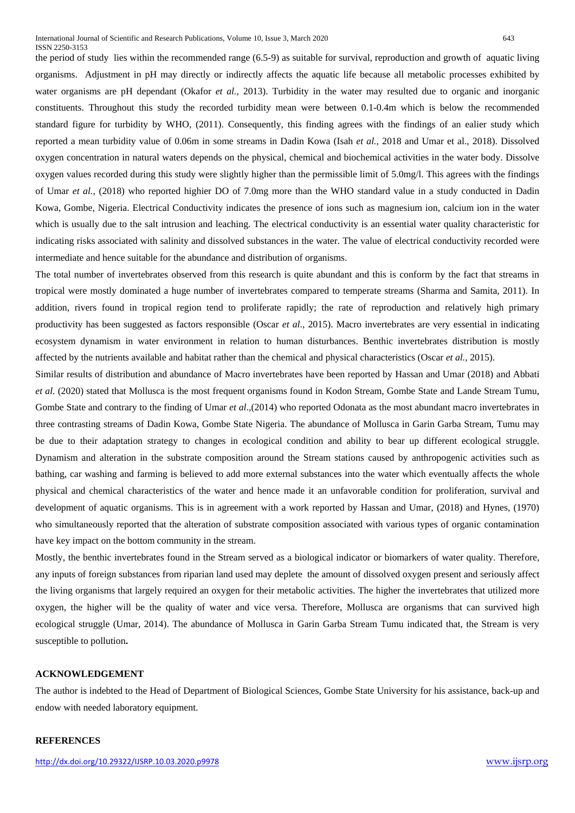the period of study lies within the recommended range (6.5-9) as suitable for survival, reproduction and growth of aquatic living organisms. Adjustment in pH may directly or indirectly affects the aquatic life because all metabolic processes exhibited by water organisms are pH dependant (Okafor *et al.,* 2013). Turbidity in the water may resulted due to organic and inorganic constituents. Throughout this study the recorded turbidity mean were between 0.1-0.4m which is below the recommended standard figure for turbidity by WHO, (2011). Consequently, this finding agrees with the findings of an ealier study which reported a mean turbidity value of 0.06m in some streams in Dadin Kowa (Isah *et al.,* 2018 and Umar et al., 2018). Dissolved oxygen concentration in natural waters depends on the physical, chemical and biochemical activities in the water body. Dissolve oxygen values recorded during this study were slightly higher than the permissible limit of 5.0mg/l. This agrees with the findings of Umar *et al.,* (2018) who reported highier DO of 7.0mg more than the WHO standard value in a study conducted in Dadin Kowa, Gombe, Nigeria. Electrical Conductivity indicates the presence of ions such as magnesium ion, calcium ion in the water which is usually due to the salt intrusion and leaching. The electrical conductivity is an essential water quality characteristic for indicating risks associated with salinity and dissolved substances in the water. The value of electrical conductivity recorded were intermediate and hence suitable for the abundance and distribution of organisms.

The total number of invertebrates observed from this research is quite abundant and this is conform by the fact that streams in tropical were mostly dominated a huge number of invertebrates compared to temperate streams (Sharma and Samita, 2011). In addition, rivers found in tropical region tend to proliferate rapidly; the rate of reproduction and relatively high primary productivity has been suggested as factors responsible (Oscar *et al*., 2015). Macro invertebrates are very essential in indicating ecosystem dynamism in water environment in relation to human disturbances. Benthic invertebrates distribution is mostly affected by the nutrients available and habitat rather than the chemical and physical characteristics (Oscar *et al.,* 2015).

Similar results of distribution and abundance of Macro invertebrates have been reported by Hassan and Umar (2018) and Abbati *et al.* (2020) stated that Mollusca is the most frequent organisms found in Kodon Stream, Gombe State and Lande Stream Tumu, Gombe State and contrary to the finding of Umar *et al*.,(2014) who reported Odonata as the most abundant macro invertebrates in three contrasting streams of Dadin Kowa, Gombe State Nigeria. The abundance of Mollusca in Garin Garba Stream, Tumu may be due to their adaptation strategy to changes in ecological condition and ability to bear up different ecological struggle. Dynamism and alteration in the substrate composition around the Stream stations caused by anthropogenic activities such as bathing, car washing and farming is believed to add more external substances into the water which eventually affects the whole physical and chemical characteristics of the water and hence made it an unfavorable condition for proliferation, survival and development of aquatic organisms. This is in agreement with a work reported by Hassan and Umar, (2018) and Hynes, (1970) who simultaneously reported that the alteration of substrate composition associated with various types of organic contamination have key impact on the bottom community in the stream.

Mostly, the benthic invertebrates found in the Stream served as a biological indicator or biomarkers of water quality. Therefore, any inputs of foreign substances from riparian land used may deplete the amount of dissolved oxygen present and seriously affect the living organisms that largely required an oxygen for their metabolic activities. The higher the invertebrates that utilized more oxygen, the higher will be the quality of water and vice versa. Therefore, Mollusca are organisms that can survived high ecological struggle (Umar, 2014). The abundance of Mollusca in Garin Garba Stream Tumu indicated that, the Stream is very susceptible to pollution**.**

#### **ACKNOWLEDGEMENT**

The author is indebted to the Head of Department of Biological Sciences, Gombe State University for his assistance, back-up and endow with needed laboratory equipment.

#### **REFERENCES**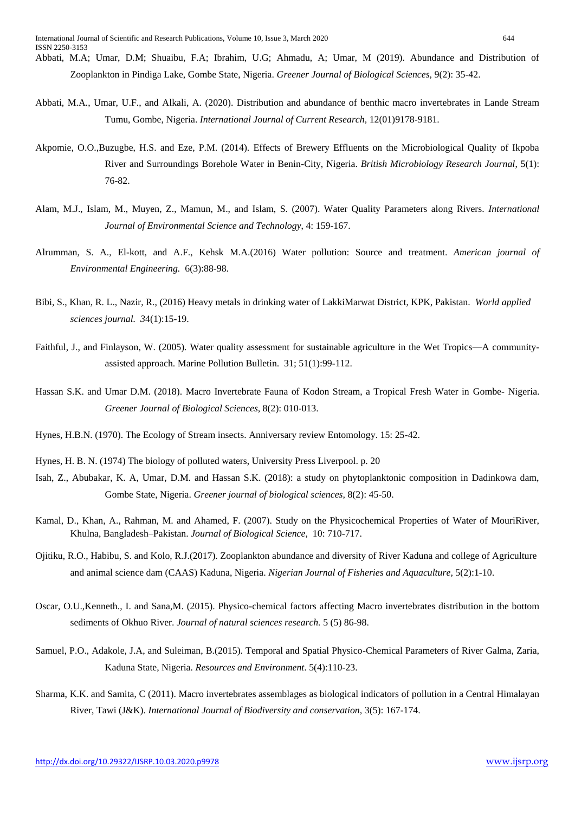- Abbati, M.A., Umar, U.F., and Alkali, A. (2020). Distribution and abundance of benthic macro invertebrates in Lande Stream Tumu, Gombe, Nigeria. *International Journal of Current Research,* 12(01)9178-9181.
- Akpomie, O.O.,Buzugbe, H.S. and Eze, P.M. (2014). Effects of Brewery Effluents on the Microbiological Quality of Ikpoba River and Surroundings Borehole Water in Benin-City, Nigeria. *British Microbiology Research Journal*, 5(1): 76-82.
- Alam, M.J., Islam, M., Muyen, Z., Mamun, M., and Islam, S. (2007). Water Quality Parameters along Rivers. *International Journal of Environmental Science and Technology*, 4: 159-167.
- Alrumman, S. A., El-kott, and A.F., Kehsk M.A.(2016) Water pollution: Source and treatment. *American journal of Environmental Engineering.* 6(3):88-98.
- Bibi, S., Khan, R. L., Nazir, R., (2016) Heavy metals in drinking water of LakkiMarwat District, KPK, Pakistan. *World applied sciences journal. 3*4(1):15-19.
- Faithful, J., and Finlayson, W. (2005). Water quality assessment for sustainable agriculture in the Wet Tropics—A communityassisted approach. Marine Pollution Bulletin. 31; 51(1):99-112.
- Hassan S.K. and Umar D.M. (2018). Macro Invertebrate Fauna of Kodon Stream, a Tropical Fresh Water in Gombe- Nigeria. *Greener Journal of Biological Sciences,* 8(2): 010-013.
- Hynes, H.B.N. (1970). The Ecology of Stream insects. Anniversary review Entomology. 15: 25-42.
- Hynes, H. B. N. (1974) The biology of polluted waters, University Press Liverpool. p. 20
- Isah, Z., Abubakar, K. A, Umar, D.M. and Hassan S.K. (2018): a study on phytoplanktonic composition in Dadinkowa dam, Gombe State, Nigeria. *Greener journal of biological sciences,* 8(2): 45-50.
- Kamal, D., Khan, A., Rahman, M. and Ahamed, F. (2007). Study on the Physicochemical Properties of Water of MouriRiver, Khulna, Bangladesh–Pakistan. *Journal of Biological Science*, 10: 710-717.
- Ojitiku, R.O., Habibu, S. and Kolo, R.J.(2017). Zooplankton abundance and diversity of River Kaduna and college of Agriculture and animal science dam (CAAS) Kaduna, Nigeria. *Nigerian Journal of Fisheries and Aquaculture,* 5(2):1-10.
- Oscar, O.U.,Kenneth., I. and Sana,M. (2015). Physico-chemical factors affecting Macro invertebrates distribution in the bottom sediments of Okhuo River. *Journal of natural sciences research.* 5 (5) 86-98.
- Samuel, P.O., Adakole, J.A, and Suleiman, B.(2015). Temporal and Spatial Physico-Chemical Parameters of River Galma, Zaria, Kaduna State, Nigeria. *Resources and Environment*. 5(4):110-23.
- Sharma, K.K. and Samita, C (2011). Macro invertebrates assemblages as biological indicators of pollution in a Central Himalayan River, Tawi (J&K). *International Journal of Biodiversity and conservation,* 3(5): 167-174.